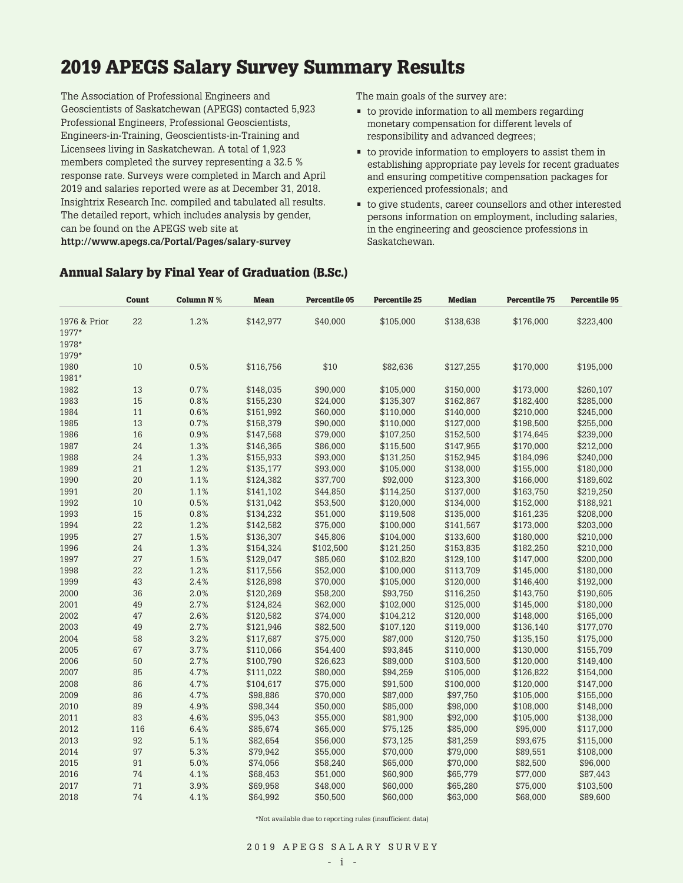# **2019 APEGS Salary Survey Summary Results**

The Association of Professional Engineers and Geoscientists of Saskatchewan (APEGS) contacted 5,923 Professional Engineers, Professional Geoscientists, Engineers-in-Training, Geoscientists-in-Training and Licensees living in Saskatchewan. A total of 1,923 members completed the survey representing a 32.5 % response rate. Surveys were completed in March and April 2019 and salaries reported were as at December 31, 2018. Insightrix Research Inc. compiled and tabulated all results. The detailed report, which includes analysis by gender, can be found on the APEGS web site at **http://www.apegs.ca/Portal/Pages/salary-survey** 

The main goals of the survey are:

- to provide information to all members regarding monetary compensation for different levels of responsibility and advanced degrees;
- to provide information to employers to assist them in establishing appropriate pay levels for recent graduates and ensuring competitive compensation packages for experienced professionals; and
- to give students, career counsellors and other interested persons information on employment, including salaries, in the engineering and geoscience professions in Saskatchewan.

|              | Count | <b>Column N %</b> | <b>Mean</b> | <b>Percentile 05</b> | <b>Percentile 25</b> | <b>Median</b> | <b>Percentile 75</b> | <b>Percentile 95</b> |
|--------------|-------|-------------------|-------------|----------------------|----------------------|---------------|----------------------|----------------------|
| 1976 & Prior | 22    | 1.2%              | \$142,977   | \$40,000             | \$105,000            | \$138,638     | \$176,000            | \$223,400            |
| 1977*        |       |                   |             |                      |                      |               |                      |                      |
| 1978*        |       |                   |             |                      |                      |               |                      |                      |
| 1979*        |       |                   |             |                      |                      |               |                      |                      |
| 1980         | 10    | 0.5%              | \$116,756   | \$10                 | \$82,636             | \$127,255     | \$170,000            | \$195,000            |
| 1981*        |       |                   |             |                      |                      |               |                      |                      |
| 1982         | 13    | 0.7%              | \$148,035   | \$90,000             | \$105,000            | \$150,000     | \$173,000            | \$260,107            |
| 1983         | 15    | 0.8%              | \$155,230   | \$24,000             | \$135,307            | \$162,867     | \$182,400            | \$285,000            |
| 1984         | 11    | 0.6%              | \$151,992   | \$60,000             | \$110,000            | \$140,000     | \$210,000            | \$245,000            |
| 1985         | 13    | 0.7%              | \$158,379   | \$90,000             | \$110,000            | \$127,000     | \$198,500            | \$255,000            |
| 1986         | 16    | 0.9%              | \$147,568   | \$79,000             | \$107,250            | \$152,500     | \$174,645            | \$239,000            |
| 1987         | 24    | 1.3%              | \$146,365   | \$86,000             | \$115,500            | \$147,955     | \$170,000            | \$212,000            |
| 1988         | 24    | 1.3%              | \$155,933   | \$93,000             | \$131,250            | \$152,945     | \$184,096            | \$240,000            |
| 1989         | 21    | 1.2%              | \$135,177   | \$93,000             | \$105,000            | \$138,000     | \$155,000            | \$180,000            |
| 1990         | 20    | 1.1%              | \$124,382   | \$37,700             | \$92,000             | \$123,300     | \$166,000            | \$189,602            |
| 1991         | 20    | 1.1%              | \$141,102   | \$44,850             | \$114,250            | \$137,000     | \$163,750            | \$219,250            |
| 1992         | 10    | 0.5%              | \$131,042   | \$53,500             | \$120,000            | \$134,000     | \$152,000            | \$188,921            |
| 1993         | 15    | 0.8%              | \$134,232   | \$51,000             | \$119,508            | \$135,000     | \$161,235            | \$208,000            |
| 1994         | 22    | 1.2%              | \$142,582   | \$75,000             | \$100,000            | \$141,567     | \$173,000            | \$203,000            |
| 1995         | 27    | 1.5%              | \$136,307   | \$45,806             | \$104,000            | \$133,600     | \$180,000            | \$210,000            |
| 1996         | 24    | 1.3%              | \$154,324   | \$102,500            | \$121,250            | \$153,835     | \$182,250            | \$210,000            |
| 1997         | 27    | 1.5%              | \$129,047   | \$85,060             | \$102,820            | \$129,100     | \$147,000            | \$200,000            |
| 1998         | 22    | 1.2%              | \$117,556   | \$52,000             | \$100,000            | \$113,709     | \$145,000            | \$180,000            |
| 1999         | 43    | 2.4%              | \$126,898   | \$70,000             |                      | \$120,000     |                      | \$192,000            |
| 2000         | 36    | 2.0%              |             |                      | \$105,000            |               | \$146,400            |                      |
|              |       |                   | \$120,269   | \$58,200             | \$93,750             | \$116,250     | \$143,750            | \$190,605            |
| 2001         | 49    | 2.7%              | \$124,824   | \$62,000             | \$102,000            | \$125,000     | \$145,000            | \$180,000            |
| 2002         | 47    | 2.6%              | \$120,582   | \$74,000             | \$104,212            | \$120,000     | \$148,000            | \$165,000            |
| 2003         | 49    | 2.7%              | \$121,946   | \$82,500             | \$107,120            | \$119,000     | \$136,140            | \$177,070            |
| 2004         | 58    | 3.2%              | \$117,687   | \$75,000             | \$87,000             | \$120,750     | \$135,150            | \$175,000            |
| 2005         | 67    | 3.7%              | \$110,066   | \$54,400             | \$93,845             | \$110,000     | \$130,000            | \$155,709            |
| 2006         | 50    | 2.7%              | \$100,790   | \$26,623             | \$89,000             | \$103,500     | \$120,000            | \$149,400            |
| 2007         | 85    | 4.7%              | \$111,022   | \$80,000             | \$94,259             | \$105,000     | \$126,822            | \$154,000            |
| 2008         | 86    | 4.7%              | \$104,617   | \$75,000             | \$91,500             | \$100,000     | \$120,000            | \$147,000            |
| 2009         | 86    | 4.7%              | \$98,886    | \$70,000             | \$87,000             | \$97,750      | \$105,000            | \$155,000            |
| 2010         | 89    | 4.9%              | \$98,344    | \$50,000             | \$85,000             | \$98,000      | \$108,000            | \$148,000            |
| 2011         | 83    | 4.6%              | \$95,043    | \$55,000             | \$81,900             | \$92,000      | \$105,000            | \$138,000            |
| 2012         | 116   | 6.4%              | \$85,674    | \$65,000             | \$75,125             | \$85,000      | \$95,000             | \$117,000            |
| 2013         | 92    | 5.1%              | \$82,654    | \$56,000             | \$73,125             | \$81,259      | \$93,675             | \$115,000            |
| 2014         | 97    | 5.3%              | \$79,942    | \$55,000             | \$70,000             | \$79,000      | \$89,551             | \$108,000            |
| 2015         | 91    | 5.0%              | \$74,056    | \$58,240             | \$65,000             | \$70,000      | \$82,500             | \$96,000             |
| 2016         | 74    | 4.1%              | \$68,453    | \$51,000             | \$60,900             | \$65,779      | \$77,000             | \$87,443             |
| 2017         | 71    | 3.9%              | \$69,958    | \$48,000             | \$60,000             | \$65,280      | \$75,000             | \$103,500            |
| 2018         | 74    | 4.1%              | \$64,992    | \$50,500             | \$60,000             | \$63,000      | \$68,000             | \$89,600             |

#### **Annual Salary by Final Year of Graduation (B.Sc.)**

\*Not available due to reporting rules (insufficient data)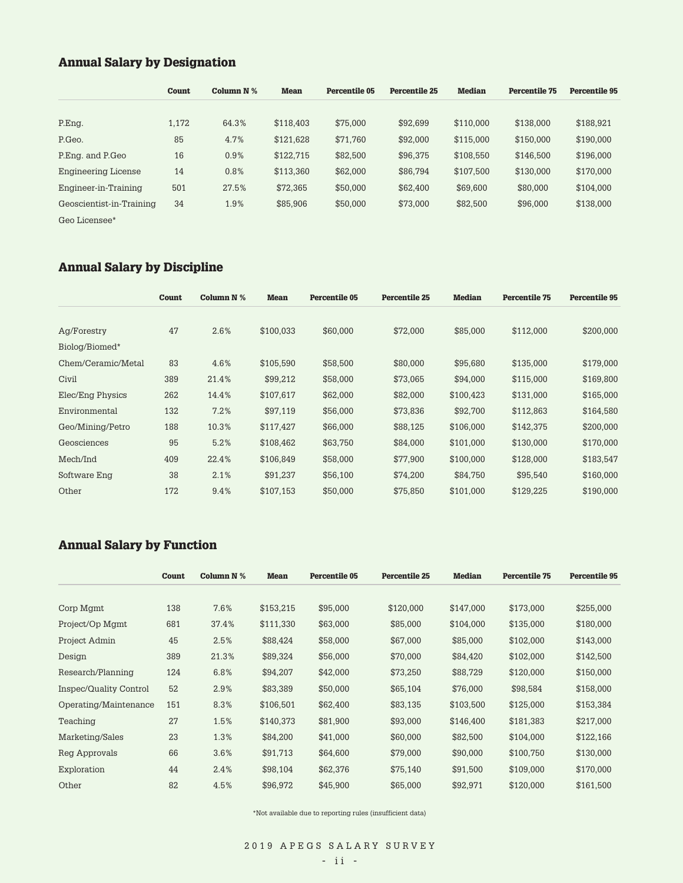### **Annual Salary by Designation**

|                          | Count | Column $N$ % | <b>Mean</b> | Percentile 05 | Percentile 25 | <b>Median</b> | <b>Percentile 75</b> | <b>Percentile 95</b> |
|--------------------------|-------|--------------|-------------|---------------|---------------|---------------|----------------------|----------------------|
|                          |       |              |             |               |               |               |                      |                      |
| P.Eng.                   | 1,172 | 64.3%        | \$118,403   | \$75,000      | \$92,699      | \$110,000     | \$138,000            | \$188,921            |
| P.Geo.                   | 85    | 4.7%         | \$121,628   | \$71,760      | \$92,000      | \$115,000     | \$150,000            | \$190,000            |
| P.Eng. and P.Geo         | 16    | 0.9%         | \$122,715   | \$82,500      | \$96,375      | \$108,550     | \$146,500            | \$196,000            |
| Engineering License      | 14    | 0.8%         | \$113,360   | \$62,000      | \$86,794      | \$107,500     | \$130,000            | \$170,000            |
| Engineer-in-Training     | 501   | 27.5%        | \$72,365    | \$50,000      | \$62,400      | \$69,600      | \$80,000             | \$104,000            |
| Geoscientist-in-Training | 34    | 1.9%         | \$85,906    | \$50,000      | \$73,000      | \$82,500      | \$96,000             | \$138,000            |
| Geo Licensee*            |       |              |             |               |               |               |                      |                      |

# **Annual Salary by Discipline**

|                    | Count | Column N % | <b>Mean</b> | Percentile 05 | <b>Percentile 25</b> | <b>Median</b> | <b>Percentile 75</b> | <b>Percentile 95</b> |
|--------------------|-------|------------|-------------|---------------|----------------------|---------------|----------------------|----------------------|
| Ag/Forestry        | 47    | 2.6%       | \$100,033   | \$60,000      | \$72,000             | \$85,000      | \$112,000            | \$200,000            |
| Biolog/Biomed*     |       |            |             |               |                      |               |                      |                      |
| Chem/Ceramic/Metal | 83    | 4.6%       | \$105,590   | \$58,500      | \$80,000             | \$95,680      | \$135,000            | \$179,000            |
| Civil              | 389   | 21.4%      | \$99,212    | \$58,000      | \$73,065             | \$94,000      | \$115,000            | \$169,800            |
| Elec/Eng Physics   | 262   | 14.4%      | \$107,617   | \$62,000      | \$82,000             | \$100,423     | \$131,000            | \$165,000            |
| Environmental      | 132   | 7.2%       | \$97,119    | \$56,000      | \$73,836             | \$92,700      | \$112,863            | \$164,580            |
| Geo/Mining/Petro   | 188   | 10.3%      | \$117,427   | \$66,000      | \$88,125             | \$106,000     | \$142,375            | \$200,000            |
| Geosciences        | 95    | 5.2%       | \$108,462   | \$63,750      | \$84,000             | \$101,000     | \$130,000            | \$170,000            |
| Mech/Ind           | 409   | 22.4%      | \$106,849   | \$58,000      | \$77,900             | \$100,000     | \$128,000            | \$183,547            |
| Software Eng       | 38    | 2.1%       | \$91,237    | \$56,100      | \$74,200             | \$84.750      | \$95.540             | \$160,000            |
| Other              | 172   | 9.4%       | \$107,153   | \$50,000      | \$75,850             | \$101,000     | \$129,225            | \$190,000            |

# **Annual Salary by Function**

|                        | Count | <b>Column N %</b> | <b>Mean</b> | Percentile 05 | <b>Percentile 25</b> | <b>Median</b> | <b>Percentile 75</b> | Percentile 95 |
|------------------------|-------|-------------------|-------------|---------------|----------------------|---------------|----------------------|---------------|
| Corp Mgmt              | 138   | 7.6%              | \$153.215   | \$95,000      | \$120,000            | \$147,000     | \$173,000            | \$255,000     |
| Project/Op Mgmt        | 681   | 37.4%             | \$111,330   | \$63,000      | \$85,000             | \$104,000     | \$135,000            | \$180,000     |
| Project Admin          | 45    | 2.5%              | \$88,424    | \$58,000      | \$67,000             | \$85,000      | \$102,000            | \$143,000     |
| Design                 | 389   | 21.3%             | \$89,324    | \$56,000      | \$70,000             | \$84,420      | \$102,000            | \$142,500     |
| Research/Planning      | 124   | 6.8%              | \$94,207    | \$42,000      | \$73,250             | \$88,729      | \$120,000            | \$150,000     |
| Inspec/Quality Control | 52    | 2.9%              | \$83,389    | \$50,000      | \$65,104             | \$76,000      | \$98,584             | \$158,000     |
| Operating/Maintenance  | 151   | 8.3%              | \$106,501   | \$62,400      | \$83,135             | \$103,500     | \$125,000            | \$153,384     |
| Teaching               | 27    | 1.5%              | \$140,373   | \$81,900      | \$93,000             | \$146,400     | \$181,383            | \$217,000     |
| Marketing/Sales        | 23    | 1.3%              | \$84,200    | \$41,000      | \$60,000             | \$82,500      | \$104,000            | \$122,166     |
| Reg Approvals          | 66    | 3.6%              | \$91,713    | \$64,600      | \$79,000             | \$90,000      | \$100,750            | \$130,000     |
| Exploration            | 44    | 2.4%              | \$98,104    | \$62,376      | \$75,140             | \$91,500      | \$109,000            | \$170,000     |
| Other                  | 82    | 4.5%              | \$96,972    | \$45,900      | \$65,000             | \$92,971      | \$120,000            | \$161,500     |

\*Not available due to reporting rules (insufficient data)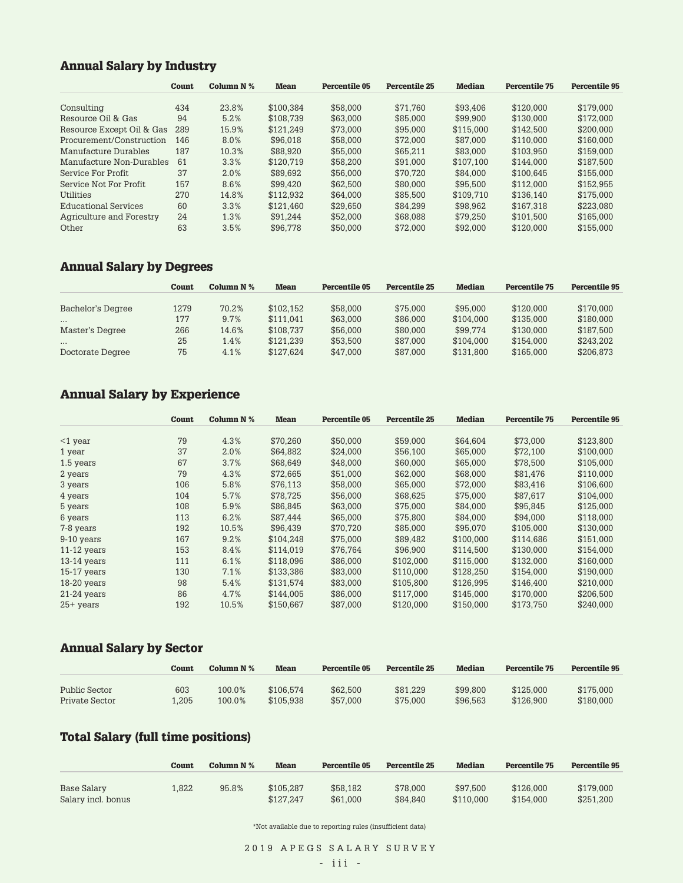### **Annual Salary by Industry**

|                           | Count | Column $N$ % | <b>Mean</b> | Percentile 05 | Percentile 25 | <b>Median</b> | <b>Percentile 75</b> | Percentile 95 |
|---------------------------|-------|--------------|-------------|---------------|---------------|---------------|----------------------|---------------|
|                           |       |              |             |               |               |               |                      |               |
| Consulting                | 434   | 23.8%        | \$100.384   | \$58,000      | \$71.760      | \$93.406      | \$120,000            | \$179.000     |
| Resource Oil & Gas        | 94    | 5.2%         | \$108.739   | \$63,000      | \$85,000      | \$99,900      | \$130,000            | \$172.000     |
| Resource Except Oil & Gas | 289   | 15.9%        | \$121.249   | \$73,000      | \$95,000      | \$115,000     | \$142.500            | \$200.000     |
| Procurement/Construction  | 146   | 8.0%         | \$96,018    | \$58,000      | \$72,000      | \$87,000      | \$110.000            | \$160,000     |
| Manufacture Durables      | 187   | 10.3%        | \$88,920    | \$55,000      | \$65.211      | \$83,000      | \$103.950            | \$159,000     |
| Manufacture Non-Durables  | 61    | 3.3%         | \$120.719   | \$58,200      | \$91,000      | \$107.100     | \$144.000            | \$187.500     |
| Service For Profit        | 37    | 2.0%         | \$89.692    | \$56,000      | \$70.720      | \$84,000      | \$100.645            | \$155,000     |
| Service Not For Profit    | 157   | 8.6%         | \$99.420    | \$62,500      | \$80,000      | \$95,500      | \$112.000            | \$152.955     |
| Utilities                 | 270   | 14.8%        | \$112.932   | \$64,000      | \$85,500      | \$109.710     | \$136.140            | \$175,000     |
| Educational Services      | 60    | 3.3%         | \$121.460   | \$29.650      | \$84.299      | \$98.962      | \$167.318            | \$223.080     |
| Agriculture and Forestry  | 24    | 1.3%         | \$91.244    | \$52,000      | \$68,088      | \$79.250      | \$101.500            | \$165,000     |
| Other                     | 63    | 3.5%         | \$96.778    | \$50,000      | \$72,000      | \$92,000      | \$120,000            | \$155,000     |

### **Annual Salary by Degrees**

|                   | Count | Column $N$ % | <b>Mean</b> | Percentile 05 | Percentile 25 | Median    | Percentile 75 | <b>Percentile 95</b> |
|-------------------|-------|--------------|-------------|---------------|---------------|-----------|---------------|----------------------|
|                   |       |              |             |               |               |           |               |                      |
| Bachelor's Degree | 1279  | 70.2%        | \$102.152   | \$58,000      | \$75,000      | \$95,000  | \$120,000     | \$170,000            |
| $\cdots$          | 177   | 9.7%         | \$111.041   | \$63,000      | \$86,000      | \$104.000 | \$135,000     | \$180,000            |
| Master's Degree   | 266   | 14.6%        | \$108.737   | \$56,000      | \$80,000      | \$99.774  | \$130,000     | \$187.500            |
| $\cdots$          | 25    | 1.4%         | \$121.239   | \$53,500      | \$87,000      | \$104.000 | \$154.000     | \$243.202            |
| Doctorate Degree  | 75    | 4.1%         | \$127.624   | \$47,000      | \$87,000      | \$131.800 | \$165,000     | \$206.873            |

# **Annual Salary by Experience**

|               | <b>Count</b> | Column N % | <b>Mean</b> | Percentile 05 | <b>Percentile 25</b> | <b>Median</b> | <b>Percentile 75</b> | <b>Percentile 95</b> |
|---------------|--------------|------------|-------------|---------------|----------------------|---------------|----------------------|----------------------|
| $<$ 1 year    | 79           | 4.3%       | \$70,260    | \$50,000      | \$59,000             | \$64,604      | \$73,000             | \$123,800            |
| 1 year        | 37           | 2.0%       | \$64.882    | \$24.000      | \$56.100             | \$65,000      | \$72,100             | \$100,000            |
| 1.5 years     | 67           | 3.7%       | \$68.649    | \$48,000      | \$60,000             | \$65,000      | \$78,500             | \$105,000            |
| 2 years       | 79           | 4.3%       | \$72.665    | \$51.000      | \$62,000             | \$68,000      | \$81.476             | \$110.000            |
| 3 years       | 106          | 5.8%       | \$76,113    | \$58,000      | \$65,000             | \$72,000      | \$83,416             | \$106,600            |
| 4 years       | 104          | 5.7%       | \$78,725    | \$56,000      | \$68,625             | \$75,000      | \$87,617             | \$104,000            |
| 5 years       | 108          | 5.9%       | \$86,845    | \$63,000      | \$75,000             | \$84,000      | \$95,845             | \$125,000            |
| 6 years       | 113          | 6.2%       | \$87.444    | \$65,000      | \$75,800             | \$84,000      | \$94,000             | \$118,000            |
| 7-8 years     | 192          | 10.5%      | \$96.439    | \$70,720      | \$85,000             | \$95,070      | \$105,000            | \$130,000            |
| 9-10 years    | 167          | 9.2%       | \$104,248   | \$75,000      | \$89,482             | \$100,000     | \$114,686            | \$151,000            |
| $11-12$ years | 153          | 8.4%       | \$114.019   | \$76,764      | \$96,900             | \$114.500     | \$130,000            | \$154,000            |
| $13-14$ years | 111          | 6.1%       | \$118,096   | \$86,000      | \$102,000            | \$115,000     | \$132,000            | \$160,000            |
| $15-17$ years | 130          | 7.1%       | \$133.386   | \$83,000      | \$110.000            | \$128.250     | \$154.000            | \$190.000            |
| 18-20 years   | 98           | 5.4%       | \$131.574   | \$83,000      | \$105.800            | \$126.995     | \$146.400            | \$210,000            |
| $21-24$ years | 86           | 4.7%       | \$144.005   | \$86,000      | \$117.000            | \$145,000     | \$170,000            | \$206,500            |
| $25+$ years   | 192          | 10.5%      | \$150,667   | \$87,000      | \$120,000            | \$150,000     | \$173,750            | \$240,000            |

### **Annual Salary by Sector**

|                | Count | Column $N\%$ | Mean      | <b>Percentile 05</b> | <b>Percentile 25</b> | <b>Median</b> | <b>Percentile 75</b> | <b>Percentile 95</b> |
|----------------|-------|--------------|-----------|----------------------|----------------------|---------------|----------------------|----------------------|
| Public Sector  | 603   | 100.0%       | \$106.574 | \$62,500             | \$81.229             | \$99,800      | \$125,000            | \$175,000            |
| Private Sector | .205  | 100.0%       | \$105.938 | \$57,000             | \$75,000             | \$96,563      | \$126,900            | \$180,000            |

# **Total Salary (full time positions)**

|                                   | Count | Column $N\%$ | <b>Mean</b>            | Percentile 05        | Percentile 25        | <b>Median</b>         | <b>Percentile 75</b>   | Percentile 95          |
|-----------------------------------|-------|--------------|------------------------|----------------------|----------------------|-----------------------|------------------------|------------------------|
| Base Salary<br>Salary incl. bonus | L.822 | 95.8%        | \$105.287<br>\$127.247 | \$58.182<br>\$61,000 | \$78,000<br>\$84.840 | \$97.500<br>\$110,000 | \$126,000<br>\$154,000 | \$179,000<br>\$251.200 |

\*Not available due to reporting rules (insufficient data)